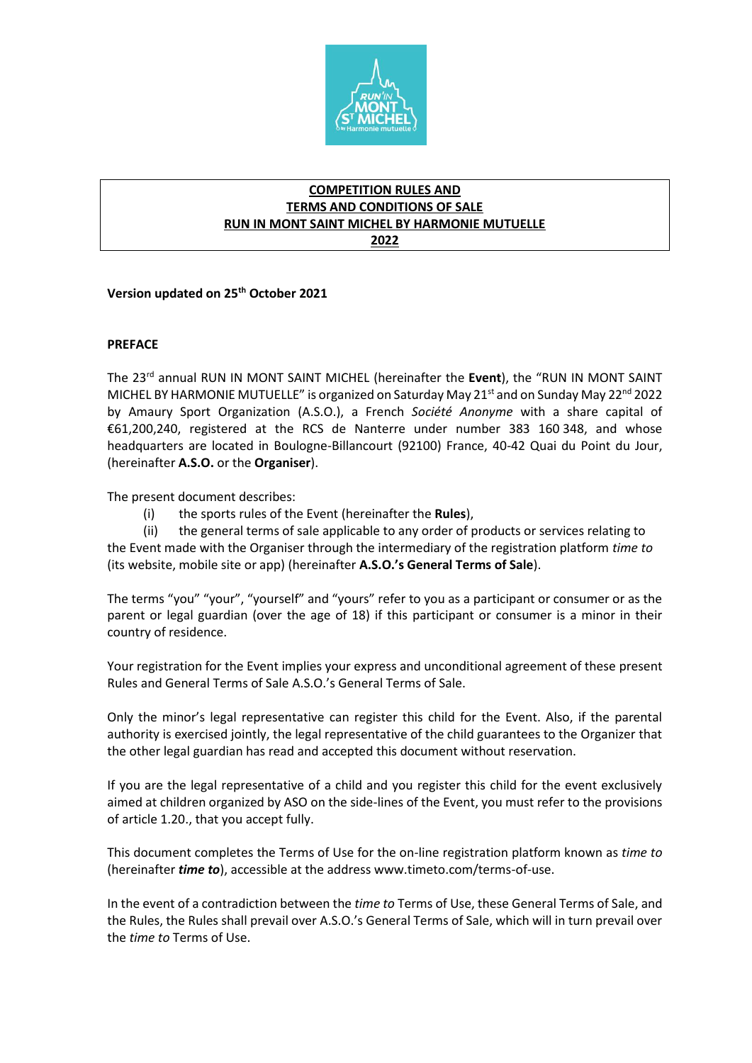

# **COMPETITION RULES AND TERMS AND CONDITIONS OF SALE RUN IN MONT SAINT MICHEL BY HARMONIE MUTUELLE 2022**

**Version updated on 25th October 2021**

## **PREFACE**

The 23rd annual RUN IN MONT SAINT MICHEL (hereinafter the **Event**), the "RUN IN MONT SAINT MICHEL BY HARMONIE MUTUELLE" is organized on Saturday May 21<sup>st</sup> and on Sunday May 22<sup>nd</sup> 2022 by Amaury Sport Organization (A.S.O.), a French *Société Anonyme* with a share capital of €61,200,240, registered at the RCS de Nanterre under number 383 160 348, and whose headquarters are located in Boulogne-Billancourt (92100) France, 40-42 Quai du Point du Jour, (hereinafter **A.S.O.** or the **Organiser**).

The present document describes:

(i) the sports rules of the Event (hereinafter the **Rules**),

(ii) the general terms of sale applicable to any order of products or services relating to the Event made with the Organiser through the intermediary of the registration platform *time to* (its website, mobile site or app) (hereinafter **A.S.O.'s General Terms of Sale**).

The terms "you" "your", "yourself" and "yours" refer to you as a participant or consumer or as the parent or legal guardian (over the age of 18) if this participant or consumer is a minor in their country of residence.

Your registration for the Event implies your express and unconditional agreement of these present Rules and General Terms of Sale A.S.O.'s General Terms of Sale.

Only the minor's legal representative can register this child for the Event. Also, if the parental authority is exercised jointly, the legal representative of the child guarantees to the Organizer that the other legal guardian has read and accepted this document without reservation.

If you are the legal representative of a child and you register this child for the event exclusively aimed at children organized by ASO on the side-lines of the Event, you must refer to the provisions of article 1.20., that you accept fully.

This document completes the Terms of Use for the on-line registration platform known as *time to* (hereinafter *time to*), accessible at the address www.timeto.com/terms-of-use.

In the event of a contradiction between the *time to* Terms of Use, these General Terms of Sale, and the Rules, the Rules shall prevail over A.S.O.'s General Terms of Sale, which will in turn prevail over the *time to* Terms of Use.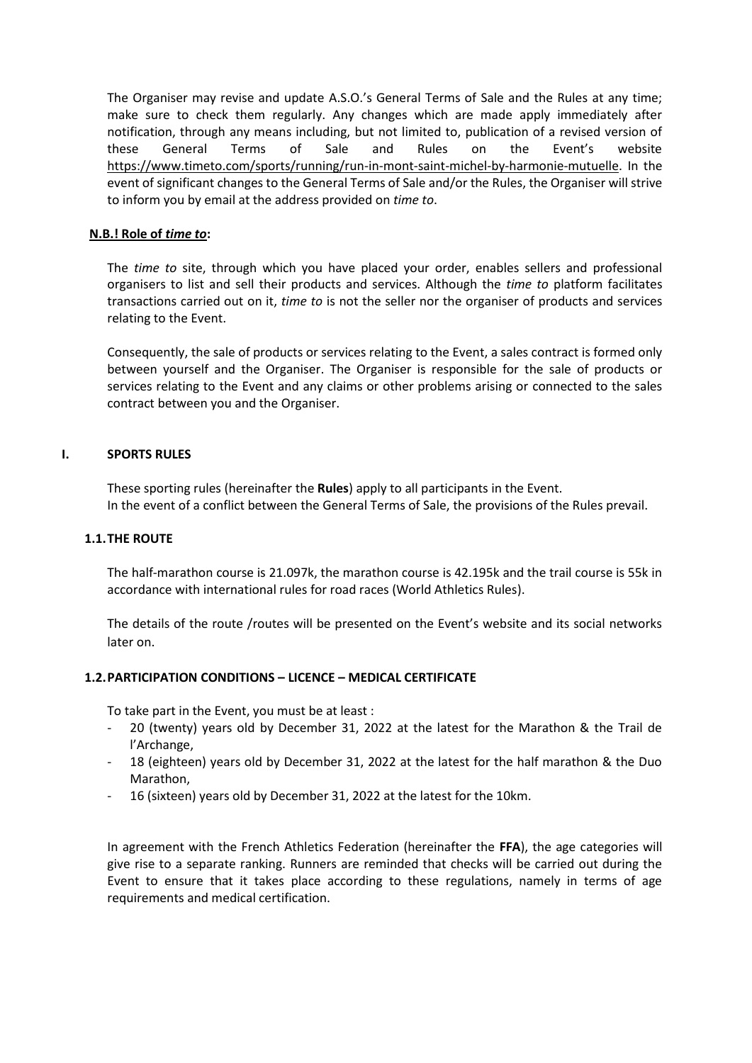The Organiser may revise and update A.S.O.'s General Terms of Sale and the Rules at any time; make sure to check them regularly. Any changes which are made apply immediately after notification, through any means including, but not limited to, publication of a revised version of these General Terms of Sale and Rules on the Event's website [https://www.timeto.com/sports/running/run-in-mont-saint-michel-by-harmonie-mutuelle.](https://www.timeto.com/sports/running/run-in-mont-saint-michel-by-harmonie-mutuelle) In the event of significant changes to the General Terms of Sale and/or the Rules, the Organiser will strive to inform you by email at the address provided on *time to*.

## **N.B.! Role of** *time to***:**

The *time to* site, through which you have placed your order, enables sellers and professional organisers to list and sell their products and services. Although the *time to* platform facilitates transactions carried out on it, *time to* is not the seller nor the organiser of products and services relating to the Event.

Consequently, the sale of products or services relating to the Event, a sales contract is formed only between yourself and the Organiser. The Organiser is responsible for the sale of products or services relating to the Event and any claims or other problems arising or connected to the sales contract between you and the Organiser.

## **I. SPORTS RULES**

These sporting rules (hereinafter the **Rules**) apply to all participants in the Event. In the event of a conflict between the General Terms of Sale, the provisions of the Rules prevail.

## **1.1.THE ROUTE**

The half-marathon course is 21.097k, the marathon course is 42.195k and the trail course is 55k in accordance with international rules for road races (World Athletics Rules).

The details of the route /routes will be presented on the Event's website and its social networks later on.

## **1.2.PARTICIPATION CONDITIONS – LICENCE – MEDICAL CERTIFICATE**

To take part in the Event, you must be at least :

- 20 (twenty) years old by December 31, 2022 at the latest for the Marathon & the Trail de l'Archange,
- 18 (eighteen) years old by December 31, 2022 at the latest for the half marathon & the Duo Marathon,
- 16 (sixteen) years old by December 31, 2022 at the latest for the 10km.

In agreement with the French Athletics Federation (hereinafter the **FFA**), the age categories will give rise to a separate ranking. Runners are reminded that checks will be carried out during the Event to ensure that it takes place according to these regulations, namely in terms of age requirements and medical certification.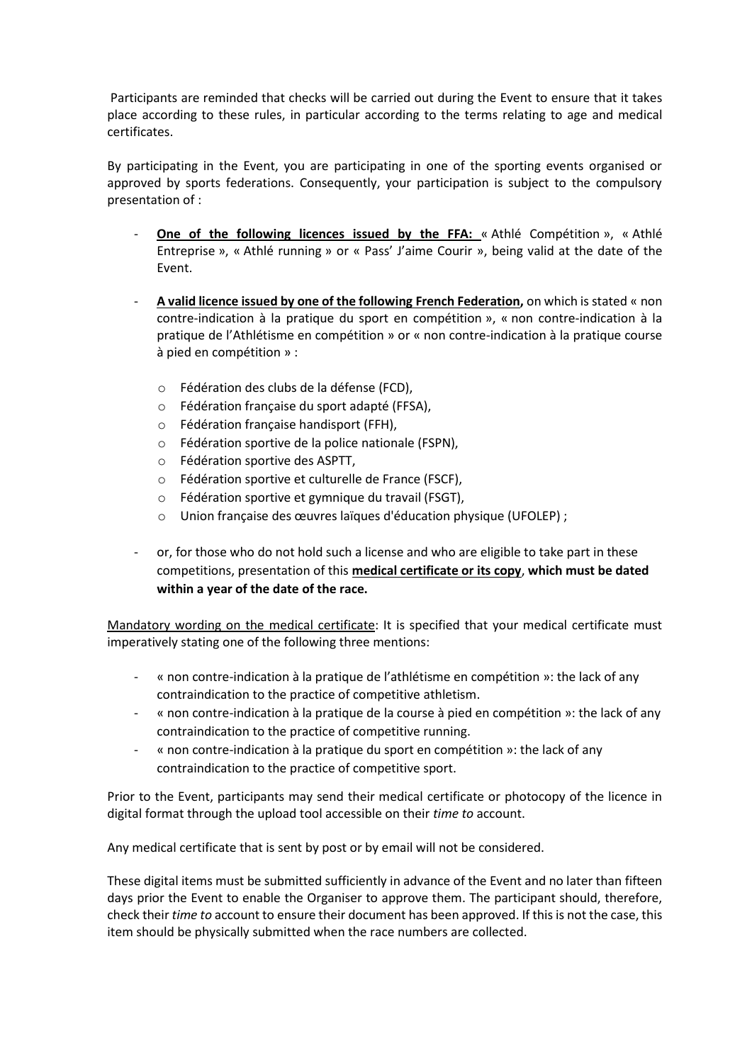Participants are reminded that checks will be carried out during the Event to ensure that it takes place according to these rules, in particular according to the terms relating to age and medical certificates.

By participating in the Event, you are participating in one of the sporting events organised or approved by sports federations. Consequently, your participation is subject to the compulsory presentation of :

- **One of the following licences issued by the FFA:** « Athlé Compétition », « Athlé Entreprise », « Athlé running » or « Pass' J'aime Courir », being valid at the date of the Event.
- **A valid licence issued by one of the following French Federation,** on which is stated « non contre-indication à la pratique du sport en compétition », « non contre-indication à la pratique de l'Athlétisme en compétition » or « non contre-indication à la pratique course à pied en compétition » :
	- o Fédération des clubs de la défense (FCD),
	- o Fédération française du sport adapté (FFSA),
	- o Fédération française handisport (FFH),
	- o Fédération sportive de la police nationale (FSPN),
	- o Fédération sportive des ASPTT,
	- o Fédération sportive et culturelle de France (FSCF),
	- o Fédération sportive et gymnique du travail (FSGT),
	- o Union française des œuvres laïques d'éducation physique (UFOLEP) ;
- or, for those who do not hold such a license and who are eligible to take part in these competitions, presentation of this **medical certificate or its copy**, **which must be dated within a year of the date of the race.**

Mandatory wording on the medical certificate: It is specified that your medical certificate must imperatively stating one of the following three mentions:

- « non contre-indication à la pratique de l'athlétisme en compétition »: the lack of any contraindication to the practice of competitive athletism.
- « non contre-indication à la pratique de la course à pied en compétition »: the lack of any contraindication to the practice of competitive running.
- « non contre-indication à la pratique du sport en compétition »: the lack of any contraindication to the practice of competitive sport.

Prior to the Event, participants may send their medical certificate or photocopy of the licence in digital format through the upload tool accessible on their *time to* account.

Any medical certificate that is sent by post or by email will not be considered.

These digital items must be submitted sufficiently in advance of the Event and no later than fifteen days prior the Event to enable the Organiser to approve them. The participant should, therefore, check their *time to* account to ensure their document has been approved. If this is not the case, this item should be physically submitted when the race numbers are collected.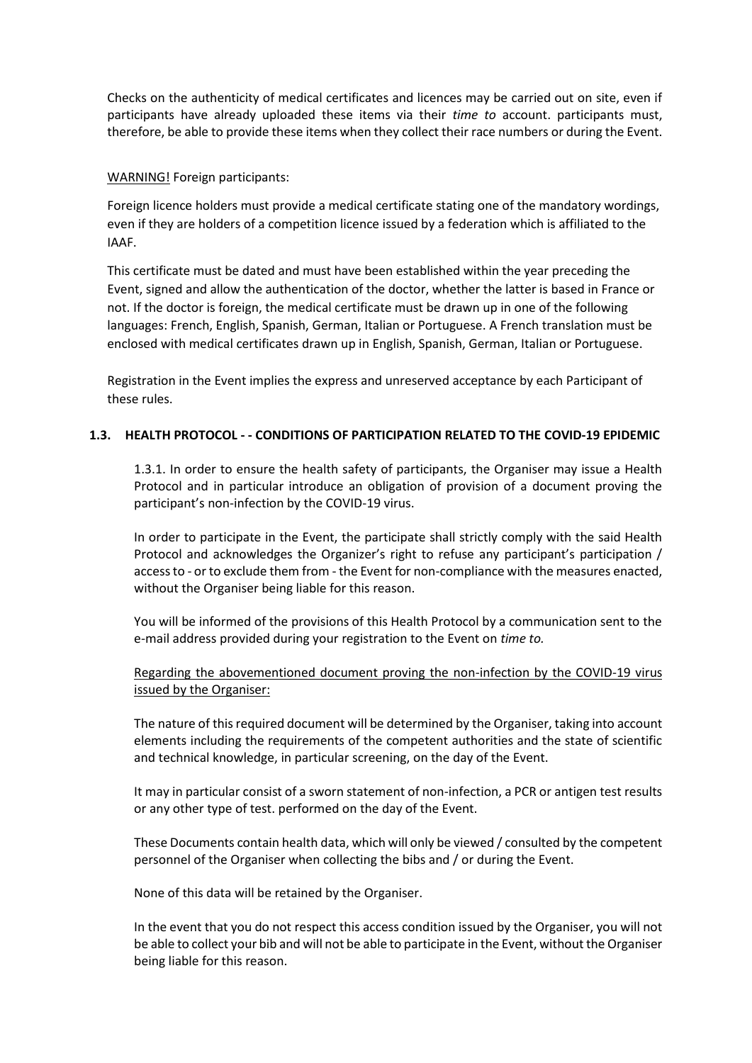Checks on the authenticity of medical certificates and licences may be carried out on site, even if participants have already uploaded these items via their *time to* account. participants must, therefore, be able to provide these items when they collect their race numbers or during the Event.

## WARNING! Foreign participants:

Foreign licence holders must provide a medical certificate stating one of the mandatory wordings, even if they are holders of a competition licence issued by a federation which is affiliated to the IAAF.

This certificate must be dated and must have been established within the year preceding the Event, signed and allow the authentication of the doctor, whether the latter is based in France or not. If the doctor is foreign, the medical certificate must be drawn up in one of the following languages: French, English, Spanish, German, Italian or Portuguese. A French translation must be enclosed with medical certificates drawn up in English, Spanish, German, Italian or Portuguese.

Registration in the Event implies the express and unreserved acceptance by each Participant of these rules.

# **1.3. HEALTH PROTOCOL - - CONDITIONS OF PARTICIPATION RELATED TO THE COVID-19 EPIDEMIC**

1.3.1. In order to ensure the health safety of participants, the Organiser may issue a Health Protocol and in particular introduce an obligation of provision of a document proving the participant's non-infection by the COVID-19 virus.

In order to participate in the Event, the participate shall strictly comply with the said Health Protocol and acknowledges the Organizer's right to refuse any participant's participation / access to - or to exclude them from - the Event for non-compliance with the measures enacted, without the Organiser being liable for this reason.

You will be informed of the provisions of this Health Protocol by a communication sent to the e-mail address provided during your registration to the Event on *time to.*

Regarding the abovementioned document proving the non-infection by the COVID-19 virus issued by the Organiser:

The nature of this required document will be determined by the Organiser, taking into account elements including the requirements of the competent authorities and the state of scientific and technical knowledge, in particular screening, on the day of the Event.

It may in particular consist of a sworn statement of non-infection, a PCR or antigen test results or any other type of test. performed on the day of the Event.

These Documents contain health data, which will only be viewed / consulted by the competent personnel of the Organiser when collecting the bibs and / or during the Event.

None of this data will be retained by the Organiser.

In the event that you do not respect this access condition issued by the Organiser, you will not be able to collect your bib and will not be able to participate in the Event, without the Organiser being liable for this reason.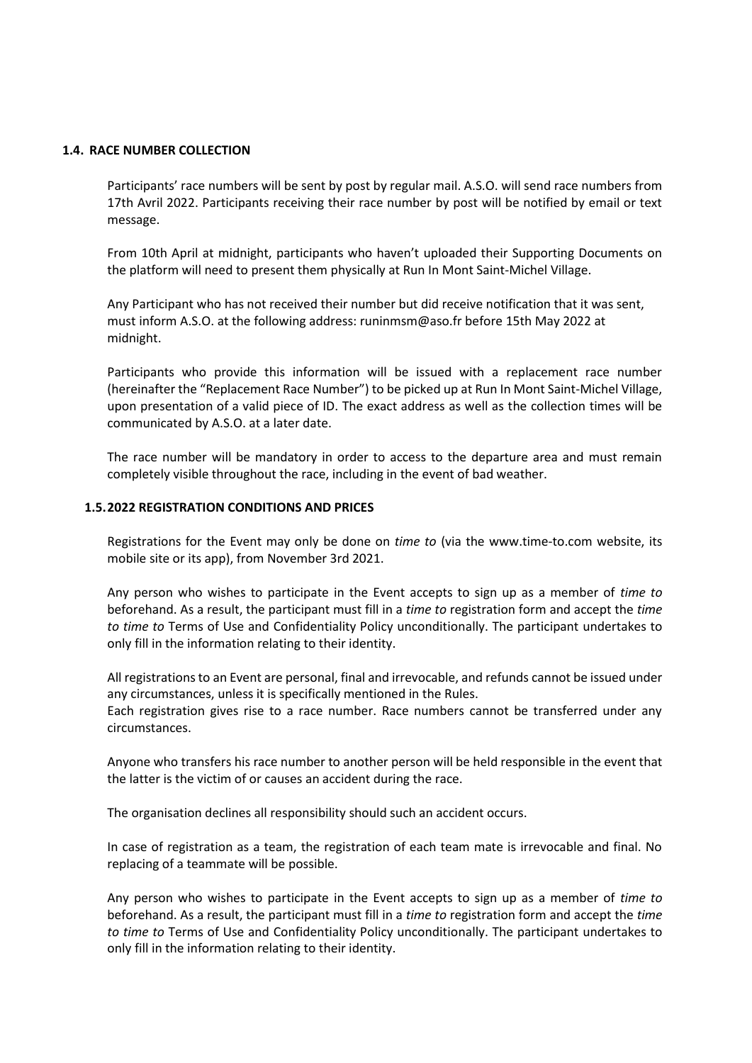#### **1.4. RACE NUMBER COLLECTION**

Participants' race numbers will be sent by post by regular mail. A.S.O. will send race numbers from 17th Avril 2022. Participants receiving their race number by post will be notified by email or text message.

From 10th April at midnight, participants who haven't uploaded their Supporting Documents on the platform will need to present them physically at Run In Mont Saint-Michel Village.

Any Participant who has not received their number but did receive notification that it was sent, must inform A.S.O. at the following address: runinmsm@aso.fr before 15th May 2022 at midnight.

Participants who provide this information will be issued with a replacement race number (hereinafter the "Replacement Race Number") to be picked up at Run In Mont Saint-Michel Village, upon presentation of a valid piece of ID. The exact address as well as the collection times will be communicated by A.S.O. at a later date.

The race number will be mandatory in order to access to the departure area and must remain completely visible throughout the race, including in the event of bad weather.

#### **1.5.2022 REGISTRATION CONDITIONS AND PRICES**

Registrations for the Event may only be done on *time to* (via the www.time-to.com website, its mobile site or its app), from November 3rd 2021.

Any person who wishes to participate in the Event accepts to sign up as a member of *time to* beforehand. As a result, the participant must fill in a *time to* registration form and accept the *time to time to* Terms of Use and Confidentiality Policy unconditionally. The participant undertakes to only fill in the information relating to their identity.

All registrations to an Event are personal, final and irrevocable, and refunds cannot be issued under any circumstances, unless it is specifically mentioned in the Rules.

Each registration gives rise to a race number. Race numbers cannot be transferred under any circumstances.

Anyone who transfers his race number to another person will be held responsible in the event that the latter is the victim of or causes an accident during the race.

The organisation declines all responsibility should such an accident occurs.

In case of registration as a team, the registration of each team mate is irrevocable and final. No replacing of a teammate will be possible.

Any person who wishes to participate in the Event accepts to sign up as a member of *time to* beforehand. As a result, the participant must fill in a *time to* registration form and accept the *time to time to* Terms of Use and Confidentiality Policy unconditionally. The participant undertakes to only fill in the information relating to their identity.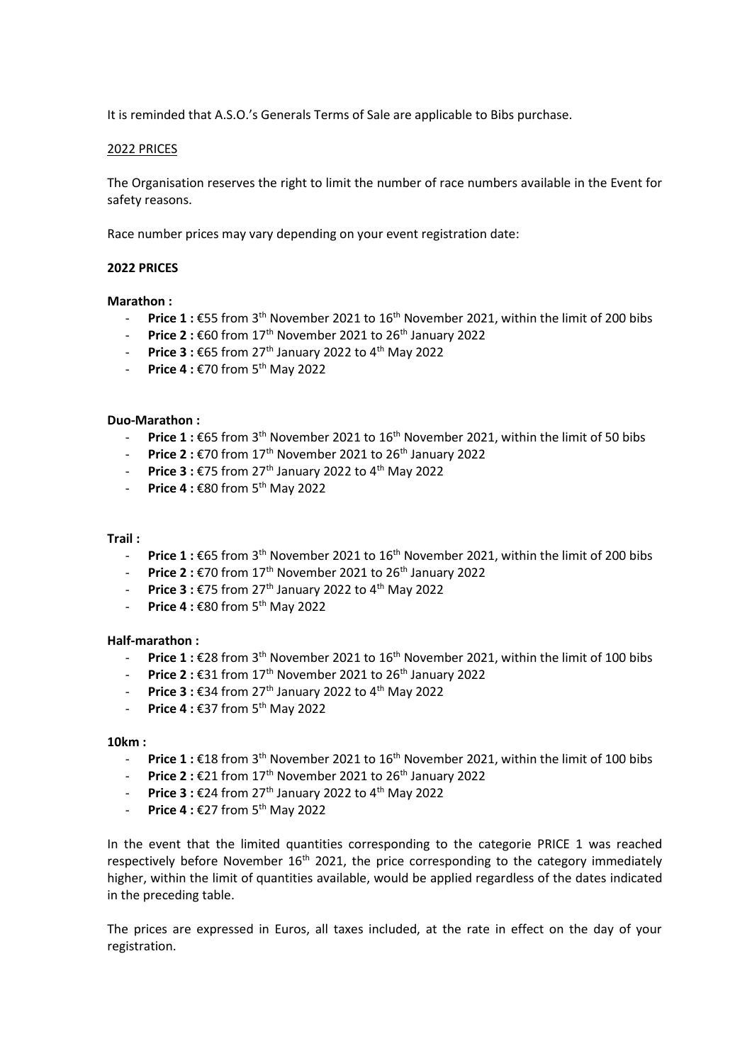It is reminded that A.S.O.'s Generals Terms of Sale are applicable to Bibs purchase.

#### 2022 PRICES

The Organisation reserves the right to limit the number of race numbers available in the Event for safety reasons.

Race number prices may vary depending on your event registration date:

#### **2022 PRICES**

#### **Marathon :**

- Price 1 : €55 from 3<sup>th</sup> November 2021 to 16<sup>th</sup> November 2021, within the limit of 200 bibs
- **Price 2 :** €60 from 17th November 2021 to 26th January 2022
- **Price 3 :** €65 from 27th January 2022 to 4th May 2022
- **Price 4 :** €70 from 5th May 2022

#### **Duo-Marathon :**

- Price 1 : €65 from 3<sup>th</sup> November 2021 to 16<sup>th</sup> November 2021, within the limit of 50 bibs
- **Price 2 : €70 from 17<sup>th</sup> November 2021 to 26<sup>th</sup> January 2022**
- **Price 3 :** €75 from 27th January 2022 to 4th May 2022
- **Fice 4 : €80 from 5<sup>th</sup> May 2022**

#### **Trail :**

- **Price 1 :** €65 from 3th November 2021 to 16th November 2021, within the limit of 200 bibs
- **Price 2 :** €70 from 17th November 2021 to 26th January 2022
- **Price 3 : €75 from 27<sup>th</sup> January 2022 to 4<sup>th</sup> May 2022**
- **Price 4 : €80 from 5<sup>th</sup> May 2022**

#### **Half-marathon :**

- Price 1 : €28 from 3<sup>th</sup> November 2021 to 16<sup>th</sup> November 2021, within the limit of 100 bibs
- **Price 2:**  $\epsilon$ 31 from 17<sup>th</sup> November 2021 to 26<sup>th</sup> January 2022
- **Price 3 :** €34 from 27th January 2022 to 4th May 2022
- **Price 4 :** €37 from 5th May 2022

#### **10km :**

- **Price 1 :** €18 from 3th November 2021 to 16th November 2021, within the limit of 100 bibs
- **Price 2 :** €21 from 17th November 2021 to 26th January 2022
- **Price 3 :** €24 from 27th January 2022 to 4th May 2022
- **Price 4 :** €27 from 5th May 2022

In the event that the limited quantities corresponding to the categorie PRICE 1 was reached respectively before November 16<sup>th</sup> 2021, the price corresponding to the category immediately higher, within the limit of quantities available, would be applied regardless of the dates indicated in the preceding table.

The prices are expressed in Euros, all taxes included, at the rate in effect on the day of your registration.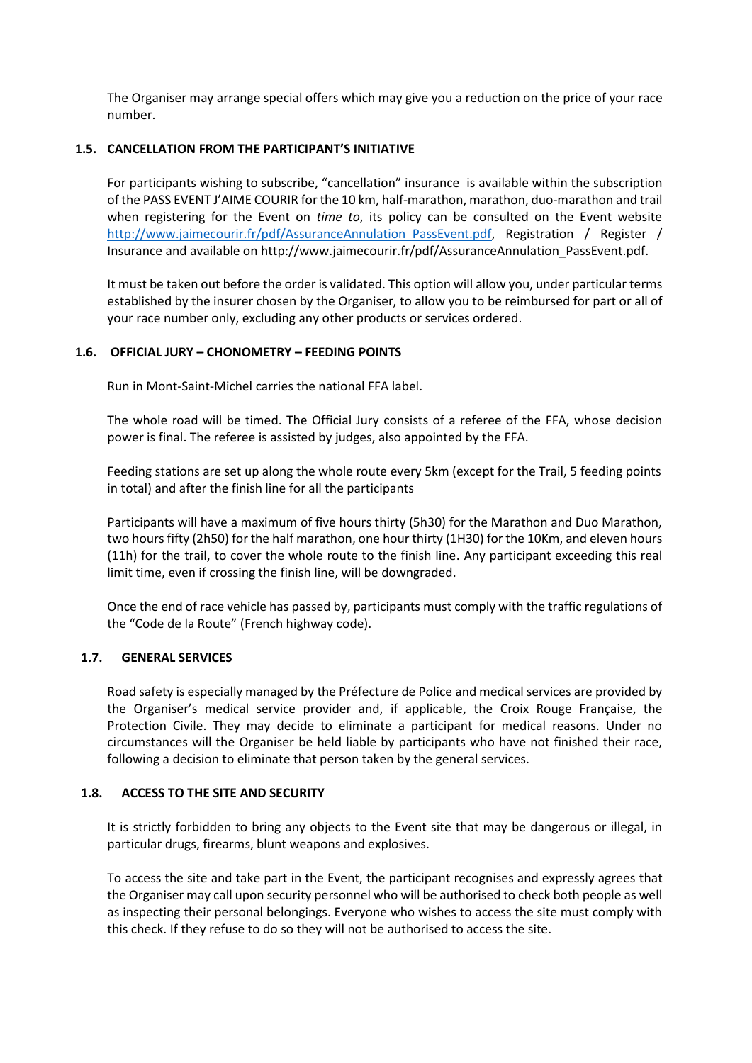The Organiser may arrange special offers which may give you a reduction on the price of your race number.

## **1.5. CANCELLATION FROM THE PARTICIPANT'S INITIATIVE**

For participants wishing to subscribe, "cancellation" insurance is available within the subscription of the PASS EVENT J'AIME COURIR for the 10 km, half-marathon, marathon, duo-marathon and trail when registering for the Event on *time to*, its policy can be consulted on the Event website http://www.jaimecourir.fr/pdf/AssuranceAnnulation PassEvent.pdf, Registration / Register / Insurance and available o[n http://www.jaimecourir.fr/pdf/AssuranceAnnulation\\_PassEvent.pdf.](http://www.jaimecourir.fr/pdf/AssuranceAnnulation_PassEvent.pdf)

It must be taken out before the order is validated. This option will allow you, under particular terms established by the insurer chosen by the Organiser, to allow you to be reimbursed for part or all of your race number only, excluding any other products or services ordered.

## **1.6. OFFICIAL JURY – CHONOMETRY – FEEDING POINTS**

Run in Mont-Saint-Michel carries the national FFA label.

The whole road will be timed. The Official Jury consists of a referee of the FFA, whose decision power is final. The referee is assisted by judges, also appointed by the FFA.

Feeding stations are set up along the whole route every 5km (except for the Trail, 5 feeding points in total) and after the finish line for all the participants

Participants will have a maximum of five hours thirty (5h30) for the Marathon and Duo Marathon, two hours fifty (2h50) for the half marathon, one hour thirty (1H30) for the 10Km, and eleven hours (11h) for the trail, to cover the whole route to the finish line. Any participant exceeding this real limit time, even if crossing the finish line, will be downgraded.

Once the end of race vehicle has passed by, participants must comply with the traffic regulations of the "Code de la Route" (French highway code).

## **1.7. GENERAL SERVICES**

Road safety is especially managed by the Préfecture de Police and medical services are provided by the Organiser's medical service provider and, if applicable, the Croix Rouge Française, the Protection Civile. They may decide to eliminate a participant for medical reasons. Under no circumstances will the Organiser be held liable by participants who have not finished their race, following a decision to eliminate that person taken by the general services.

## **1.8. ACCESS TO THE SITE AND SECURITY**

It is strictly forbidden to bring any objects to the Event site that may be dangerous or illegal, in particular drugs, firearms, blunt weapons and explosives.

To access the site and take part in the Event, the participant recognises and expressly agrees that the Organiser may call upon security personnel who will be authorised to check both people as well as inspecting their personal belongings. Everyone who wishes to access the site must comply with this check. If they refuse to do so they will not be authorised to access the site.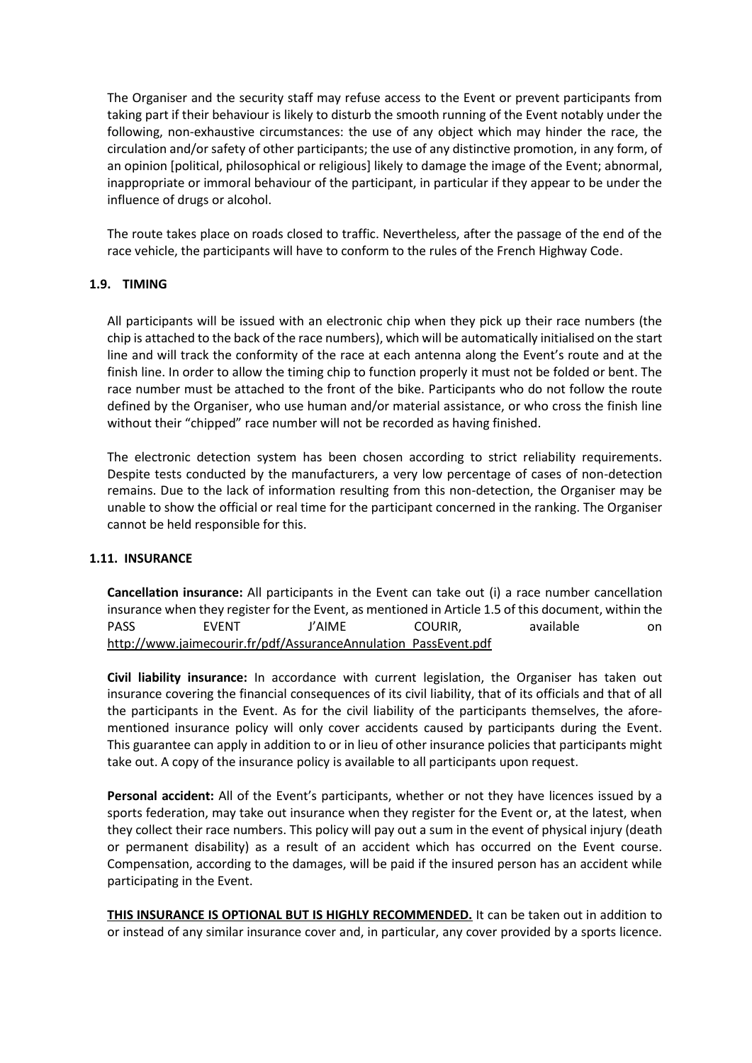The Organiser and the security staff may refuse access to the Event or prevent participants from taking part if their behaviour is likely to disturb the smooth running of the Event notably under the following, non-exhaustive circumstances: the use of any object which may hinder the race, the circulation and/or safety of other participants; the use of any distinctive promotion, in any form, of an opinion [political, philosophical or religious] likely to damage the image of the Event; abnormal, inappropriate or immoral behaviour of the participant, in particular if they appear to be under the influence of drugs or alcohol.

The route takes place on roads closed to traffic. Nevertheless, after the passage of the end of the race vehicle, the participants will have to conform to the rules of the French Highway Code.

## **1.9. TIMING**

All participants will be issued with an electronic chip when they pick up their race numbers (the chip is attached to the back of the race numbers), which will be automatically initialised on the start line and will track the conformity of the race at each antenna along the Event's route and at the finish line. In order to allow the timing chip to function properly it must not be folded or bent. The race number must be attached to the front of the bike. Participants who do not follow the route defined by the Organiser, who use human and/or material assistance, or who cross the finish line without their "chipped" race number will not be recorded as having finished.

The electronic detection system has been chosen according to strict reliability requirements. Despite tests conducted by the manufacturers, a very low percentage of cases of non-detection remains. Due to the lack of information resulting from this non-detection, the Organiser may be unable to show the official or real time for the participant concerned in the ranking. The Organiser cannot be held responsible for this.

## **1.11. INSURANCE**

**Cancellation insurance:** All participants in the Event can take out (i) a race number cancellation insurance when they register for the Event, as mentioned in Article 1.5 of this document, within the PASS EVENT J'AIME COURIR, available on [http://www.jaimecourir.fr/pdf/AssuranceAnnulation\\_PassEvent.pdf](http://www.jaimecourir.fr/pdf/AssuranceAnnulation_PassEvent.pdf)

**Civil liability insurance:** In accordance with current legislation, the Organiser has taken out insurance covering the financial consequences of its civil liability, that of its officials and that of all the participants in the Event. As for the civil liability of the participants themselves, the aforementioned insurance policy will only cover accidents caused by participants during the Event. This guarantee can apply in addition to or in lieu of other insurance policies that participants might take out. A copy of the insurance policy is available to all participants upon request.

**Personal accident:** All of the Event's participants, whether or not they have licences issued by a sports federation, may take out insurance when they register for the Event or, at the latest, when they collect their race numbers. This policy will pay out a sum in the event of physical injury (death or permanent disability) as a result of an accident which has occurred on the Event course. Compensation, according to the damages, will be paid if the insured person has an accident while participating in the Event.

**THIS INSURANCE IS OPTIONAL BUT IS HIGHLY RECOMMENDED.** It can be taken out in addition to or instead of any similar insurance cover and, in particular, any cover provided by a sports licence.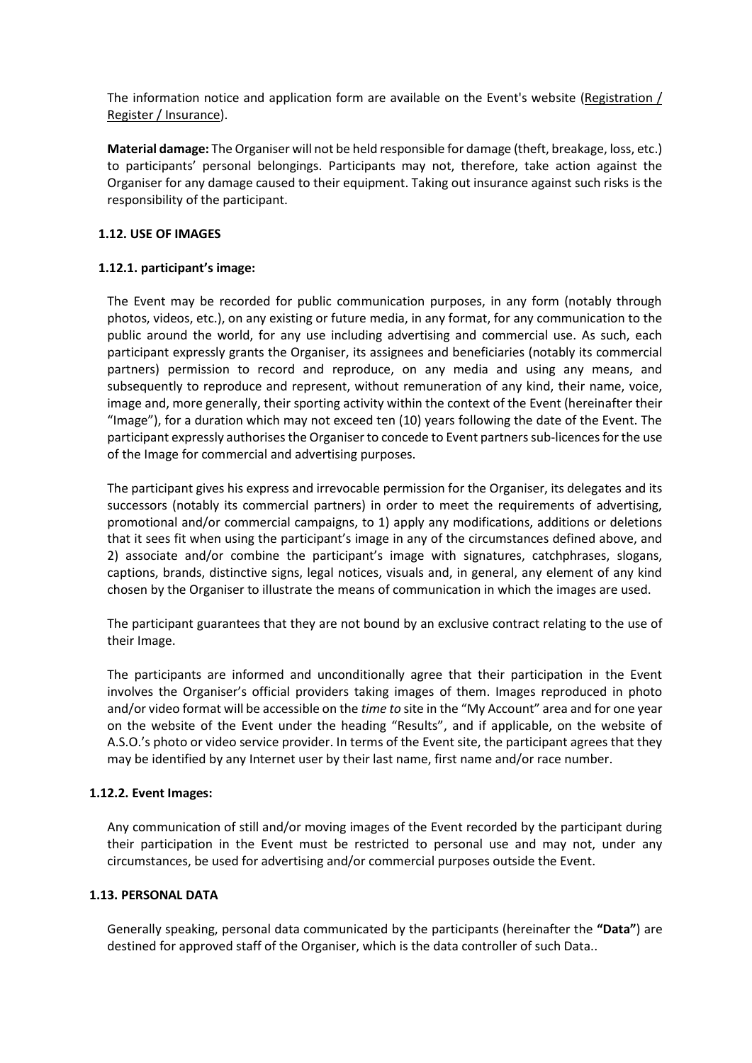The information notice and application form are available on the Event's website [\(Registration /](http://www.schneiderelectricparismarathon.com/inscription/assurances)  [Register / Insurance\)](http://www.schneiderelectricparismarathon.com/inscription/assurances).

**Material damage:** The Organiser will not be held responsible for damage (theft, breakage, loss, etc.) to participants' personal belongings. Participants may not, therefore, take action against the Organiser for any damage caused to their equipment. Taking out insurance against such risks is the responsibility of the participant.

# **1.12. USE OF IMAGES**

## **1.12.1. participant's image:**

The Event may be recorded for public communication purposes, in any form (notably through photos, videos, etc.), on any existing or future media, in any format, for any communication to the public around the world, for any use including advertising and commercial use. As such, each participant expressly grants the Organiser, its assignees and beneficiaries (notably its commercial partners) permission to record and reproduce, on any media and using any means, and subsequently to reproduce and represent, without remuneration of any kind, their name, voice, image and, more generally, their sporting activity within the context of the Event (hereinafter their "Image"), for a duration which may not exceed ten (10) years following the date of the Event. The participant expressly authorises the Organiser to concede to Event partners sub-licences for the use of the Image for commercial and advertising purposes.

The participant gives his express and irrevocable permission for the Organiser, its delegates and its successors (notably its commercial partners) in order to meet the requirements of advertising, promotional and/or commercial campaigns, to 1) apply any modifications, additions or deletions that it sees fit when using the participant's image in any of the circumstances defined above, and 2) associate and/or combine the participant's image with signatures, catchphrases, slogans, captions, brands, distinctive signs, legal notices, visuals and, in general, any element of any kind chosen by the Organiser to illustrate the means of communication in which the images are used.

The participant guarantees that they are not bound by an exclusive contract relating to the use of their Image.

The participants are informed and unconditionally agree that their participation in the Event involves the Organiser's official providers taking images of them. Images reproduced in photo and/or video format will be accessible on the *time to* site in the "My Account" area and for one year on the website of the Event under the heading "Results", and if applicable, on the website of A.S.O.'s photo or video service provider. In terms of the Event site, the participant agrees that they may be identified by any Internet user by their last name, first name and/or race number.

# **1.12.2. Event Images:**

Any communication of still and/or moving images of the Event recorded by the participant during their participation in the Event must be restricted to personal use and may not, under any circumstances, be used for advertising and/or commercial purposes outside the Event.

## **1.13. PERSONAL DATA**

Generally speaking, personal data communicated by the participants (hereinafter the **"Data"**) are destined for approved staff of the Organiser, which is the data controller of such Data..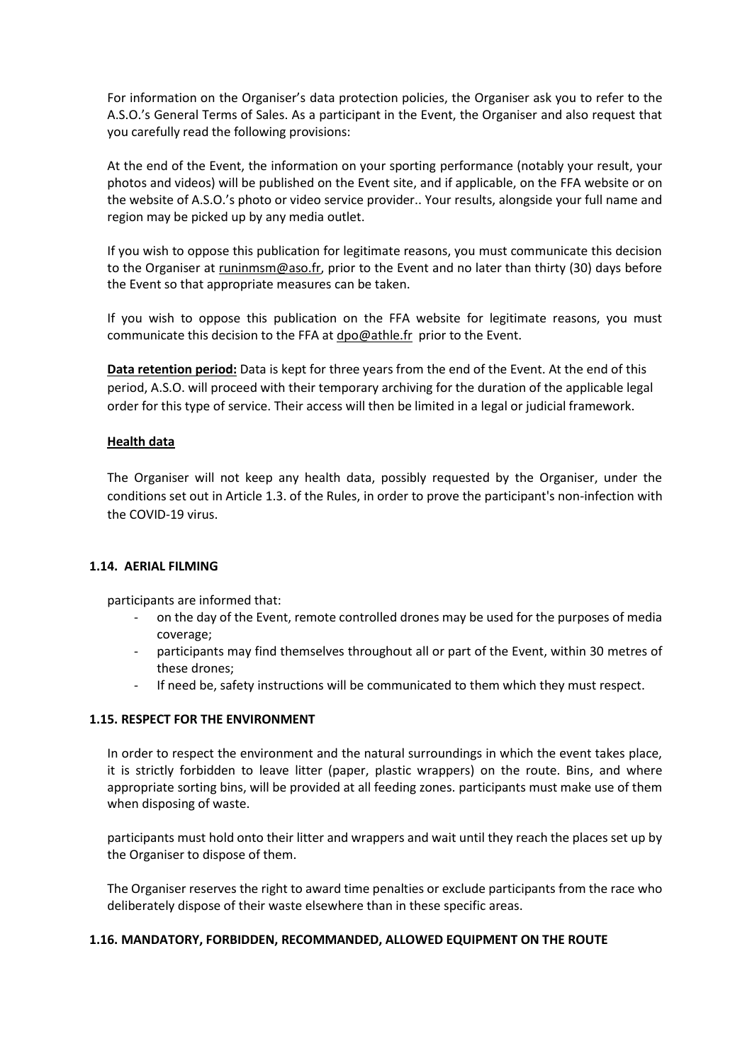For information on the Organiser's data protection policies, the Organiser ask you to refer to the A.S.O.'s General Terms of Sales. As a participant in the Event, the Organiser and also request that you carefully read the following provisions:

At the end of the Event, the information on your sporting performance (notably your result, your photos and videos) will be published on the Event site, and if applicable, on the FFA website or on the website of A.S.O.'s photo or video service provider.. Your results, alongside your full name and region may be picked up by any media outlet.

If you wish to oppose this publication for legitimate reasons, you must communicate this decision to the Organiser at runinmsm@aso.fr, prior to the Event and no later than thirty (30) days before the Event so that appropriate measures can be taken.

If you wish to oppose this publication on the FFA website for legitimate reasons, you must communicate this decision to the FFA a[t dpo@athle.fr](mailto:dpo@athle.fr) prior to the Event.

**Data retention period:** Data is kept for three years from the end of the Event. At the end of this period, A.S.O. will proceed with their temporary archiving for the duration of the applicable legal order for this type of service. Their access will then be limited in a legal or judicial framework.

## **Health data**

The Organiser will not keep any health data, possibly requested by the Organiser, under the conditions set out in Article 1.3. of the Rules, in order to prove the participant's non-infection with the COVID-19 virus.

## **1.14. AERIAL FILMING**

participants are informed that:

- on the day of the Event, remote controlled drones may be used for the purposes of media coverage;
- participants may find themselves throughout all or part of the Event, within 30 metres of these drones;
- If need be, safety instructions will be communicated to them which they must respect.

## **1.15. RESPECT FOR THE ENVIRONMENT**

In order to respect the environment and the natural surroundings in which the event takes place, it is strictly forbidden to leave litter (paper, plastic wrappers) on the route. Bins, and where appropriate sorting bins, will be provided at all feeding zones. participants must make use of them when disposing of waste.

participants must hold onto their litter and wrappers and wait until they reach the places set up by the Organiser to dispose of them.

The Organiser reserves the right to award time penalties or exclude participants from the race who deliberately dispose of their waste elsewhere than in these specific areas.

## **1.16. MANDATORY, FORBIDDEN, RECOMMANDED, ALLOWED EQUIPMENT ON THE ROUTE**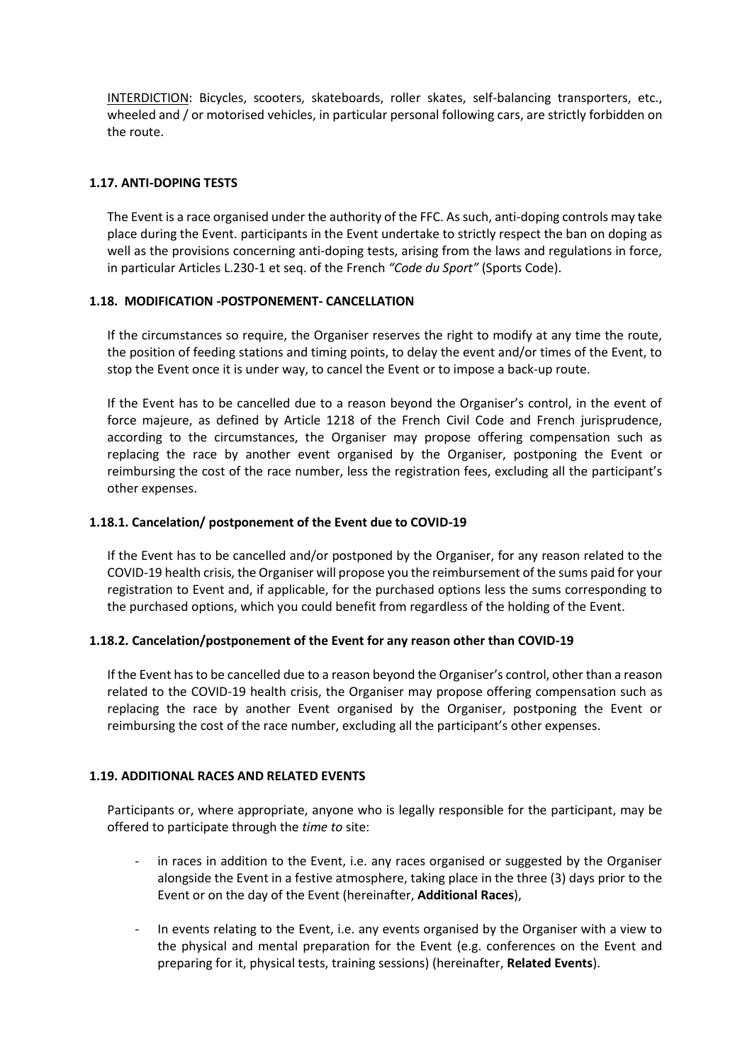INTERDICTION: Bicycles, scooters, skateboards, roller skates, self-balancing transporters, etc., wheeled and / or motorised vehicles, in particular personal following cars, are strictly forbidden on the route.

# **1.17. ANTI-DOPING TESTS**

The Event is a race organised under the authority of the FFC. As such, anti-doping controls may take place during the Event. participants in the Event undertake to strictly respect the ban on doping as well as the provisions concerning anti-doping tests, arising from the laws and regulations in force, in particular Articles L.230-1 et seq. of the French *"Code du Sport"* (Sports Code).

## **1.18. MODIFICATION -POSTPONEMENT- CANCELLATION**

If the circumstances so require, the Organiser reserves the right to modify at any time the route, the position of feeding stations and timing points, to delay the event and/or times of the Event, to stop the Event once it is under way, to cancel the Event or to impose a back-up route.

If the Event has to be cancelled due to a reason beyond the Organiser's control, in the event of force majeure, as defined by Article 1218 of the French Civil Code and French jurisprudence, according to the circumstances, the Organiser may propose offering compensation such as replacing the race by another event organised by the Organiser, postponing the Event or reimbursing the cost of the race number, less the registration fees, excluding all the participant's other expenses.

## **1.18.1. Cancelation/ postponement of the Event due to COVID-19**

If the Event has to be cancelled and/or postponed by the Organiser, for any reason related to the COVID-19 health crisis, the Organiser will propose you the reimbursement of the sums paid for your registration to Event and, if applicable, for the purchased options less the sums corresponding to the purchased options, which you could benefit from regardless of the holding of the Event.

## **1.18.2. Cancelation/postponement of the Event for any reason other than COVID-19**

If the Event has to be cancelled due to a reason beyond the Organiser's control, other than a reason related to the COVID-19 health crisis, the Organiser may propose offering compensation such as replacing the race by another Event organised by the Organiser, postponing the Event or reimbursing the cost of the race number, excluding all the participant's other expenses.

## **1.19. ADDITIONAL RACES AND RELATED EVENTS**

Participants or, where appropriate, anyone who is legally responsible for the participant, may be offered to participate through the *time to* site:

- in races in addition to the Event, i.e. any races organised or suggested by the Organiser alongside the Event in a festive atmosphere, taking place in the three (3) days prior to the Event or on the day of the Event (hereinafter, **Additional Races**),
- In events relating to the Event, i.e. any events organised by the Organiser with a view to the physical and mental preparation for the Event (e.g. conferences on the Event and preparing for it, physical tests, training sessions) (hereinafter, **Related Events**).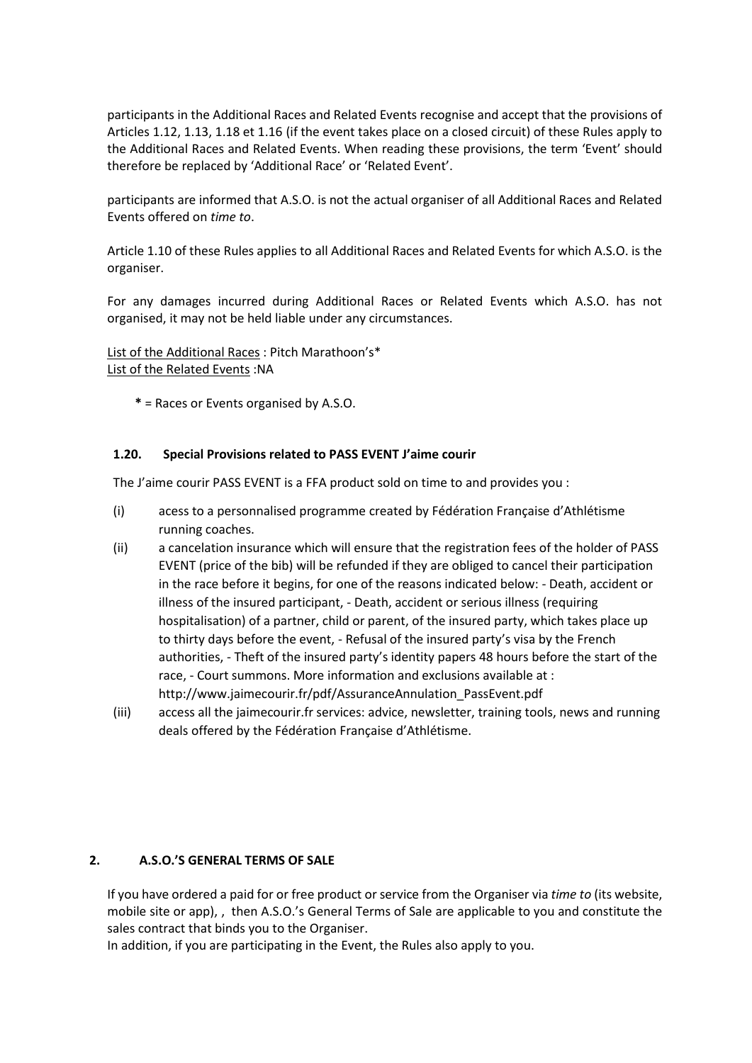participants in the Additional Races and Related Events recognise and accept that the provisions of Articles 1.12, 1.13, 1.18 et 1.16 (if the event takes place on a closed circuit) of these Rules apply to the Additional Races and Related Events. When reading these provisions, the term 'Event' should therefore be replaced by 'Additional Race' or 'Related Event'.

participants are informed that A.S.O. is not the actual organiser of all Additional Races and Related Events offered on *time to*.

Article 1.10 of these Rules applies to all Additional Races and Related Events for which A.S.O. is the organiser.

For any damages incurred during Additional Races or Related Events which A.S.O. has not organised, it may not be held liable under any circumstances.

List of the Additional Races : Pitch Marathoon's\* List of the Related Events :NA

**\*** = Races or Events organised by A.S.O.

## **1.20. Special Provisions related to PASS EVENT J'aime courir**

The J'aime courir PASS EVENT is a FFA product sold on time to and provides you :

- (i) acess to a personnalised programme created by Fédération Française d'Athlétisme running coaches.
- (ii) a cancelation insurance which will ensure that the registration fees of the holder of PASS EVENT (price of the bib) will be refunded if they are obliged to cancel their participation in the race before it begins, for one of the reasons indicated below: - Death, accident or illness of the insured participant, - Death, accident or serious illness (requiring hospitalisation) of a partner, child or parent, of the insured party, which takes place up to thirty days before the event, - Refusal of the insured party's visa by the French authorities, - Theft of the insured party's identity papers 48 hours before the start of the race, - Court summons. More information and exclusions available at : http://www.jaimecourir.fr/pdf/AssuranceAnnulation\_PassEvent.pdf
- (iii) access all the jaimecourir.fr services: advice, newsletter, training tools, news and running deals offered by the Fédération Française d'Athlétisme.

## **2. A.S.O.'S GENERAL TERMS OF SALE**

If you have ordered a paid for or free product or service from the Organiser via *time to* (its website, mobile site or app), , then A.S.O.'s General Terms of Sale are applicable to you and constitute the sales contract that binds you to the Organiser.

In addition, if you are participating in the Event, the Rules also apply to you.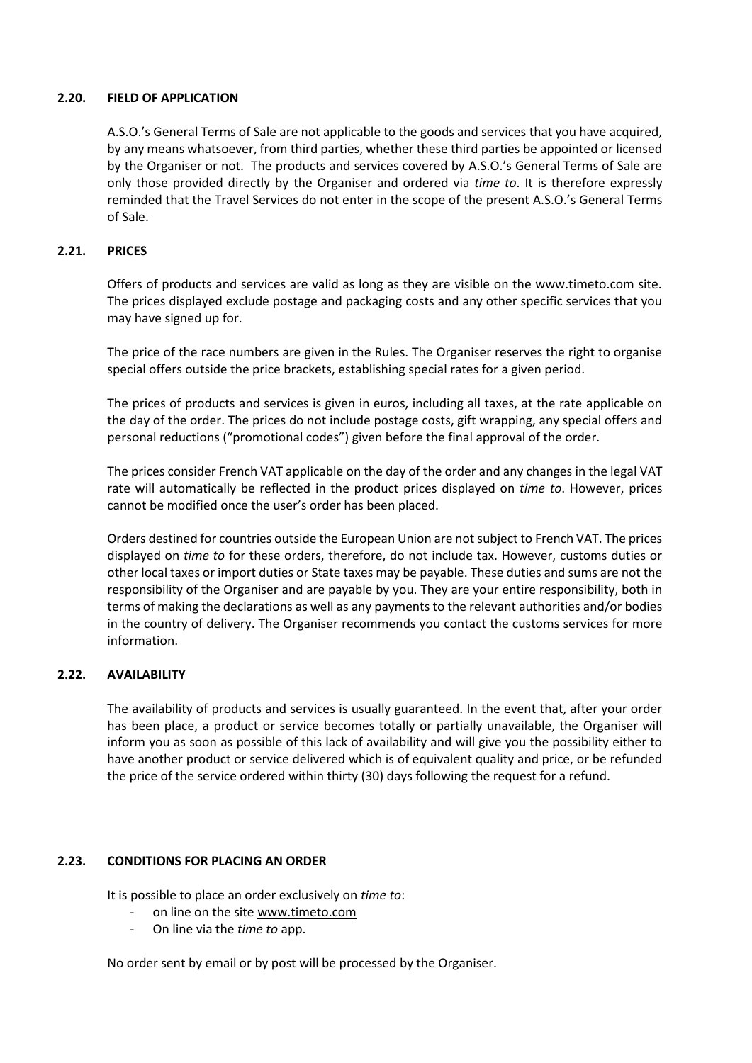## **2.20. FIELD OF APPLICATION**

A.S.O.'s General Terms of Sale are not applicable to the goods and services that you have acquired, by any means whatsoever, from third parties, whether these third parties be appointed or licensed by the Organiser or not. The products and services covered by A.S.O.'s General Terms of Sale are only those provided directly by the Organiser and ordered via *time to*. It is therefore expressly reminded that the Travel Services do not enter in the scope of the present A.S.O.'s General Terms of Sale.

#### **2.21. PRICES**

Offers of products and services are valid as long as they are visible on the www.timeto.com site. The prices displayed exclude postage and packaging costs and any other specific services that you may have signed up for.

The price of the race numbers are given in the Rules. The Organiser reserves the right to organise special offers outside the price brackets, establishing special rates for a given period.

The prices of products and services is given in euros, including all taxes, at the rate applicable on the day of the order. The prices do not include postage costs, gift wrapping, any special offers and personal reductions ("promotional codes") given before the final approval of the order.

The prices consider French VAT applicable on the day of the order and any changes in the legal VAT rate will automatically be reflected in the product prices displayed on *time to*. However, prices cannot be modified once the user's order has been placed.

Orders destined for countries outside the European Union are not subject to French VAT. The prices displayed on *time to* for these orders, therefore, do not include tax. However, customs duties or other local taxes or import duties or State taxes may be payable. These duties and sums are not the responsibility of the Organiser and are payable by you. They are your entire responsibility, both in terms of making the declarations as well as any payments to the relevant authorities and/or bodies in the country of delivery. The Organiser recommends you contact the customs services for more information.

## **2.22. AVAILABILITY**

The availability of products and services is usually guaranteed. In the event that, after your order has been place, a product or service becomes totally or partially unavailable, the Organiser will inform you as soon as possible of this lack of availability and will give you the possibility either to have another product or service delivered which is of equivalent quality and price, or be refunded the price of the service ordered within thirty (30) days following the request for a refund.

## **2.23. CONDITIONS FOR PLACING AN ORDER**

It is possible to place an order exclusively on *time to*:

- on line on the site [www.timeto.com](http://www.timeto.com/)
- On line via the *time to* app.

No order sent by email or by post will be processed by the Organiser.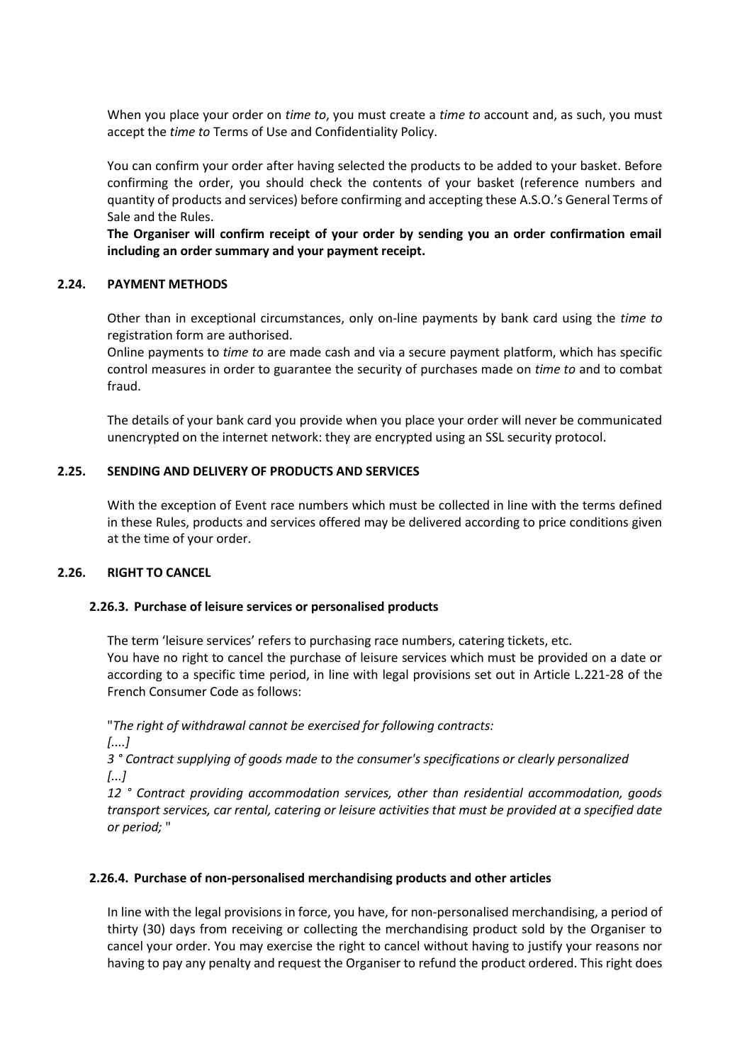When you place your order on *time to*, you must create a *time to* account and, as such, you must accept the *time to* Terms of Use and Confidentiality Policy.

You can confirm your order after having selected the products to be added to your basket. Before confirming the order, you should check the contents of your basket (reference numbers and quantity of products and services) before confirming and accepting these A.S.O.'s General Terms of Sale and the Rules.

**The Organiser will confirm receipt of your order by sending you an order confirmation email including an order summary and your payment receipt.** 

## **2.24. PAYMENT METHODS**

Other than in exceptional circumstances, only on-line payments by bank card using the *time to* registration form are authorised.

Online payments to *time to* are made cash and via a secure payment platform, which has specific control measures in order to guarantee the security of purchases made on *time to* and to combat fraud.

The details of your bank card you provide when you place your order will never be communicated unencrypted on the internet network: they are encrypted using an SSL security protocol.

## **2.25. SENDING AND DELIVERY OF PRODUCTS AND SERVICES**

With the exception of Event race numbers which must be collected in line with the terms defined in these Rules, products and services offered may be delivered according to price conditions given at the time of your order.

## **2.26. RIGHT TO CANCEL**

## **2.26.3. Purchase of leisure services or personalised products**

The term 'leisure services' refers to purchasing race numbers, catering tickets, etc. You have no right to cancel the purchase of leisure services which must be provided on a date or according to a specific time period, in line with legal provisions set out in Article L.221-28 of the French Consumer Code as follows:

"*The right of withdrawal cannot be exercised for following contracts:*

*[....]*

*3 ° Contract supplying of goods made to the consumer's specifications or clearly personalized [...]*

*12 ° Contract providing accommodation services, other than residential accommodation, goods transport services, car rental, catering or leisure activities that must be provided at a specified date or period;* "

## **2.26.4. Purchase of non-personalised merchandising products and other articles**

In line with the legal provisions in force, you have, for non-personalised merchandising, a period of thirty (30) days from receiving or collecting the merchandising product sold by the Organiser to cancel your order. You may exercise the right to cancel without having to justify your reasons nor having to pay any penalty and request the Organiser to refund the product ordered. This right does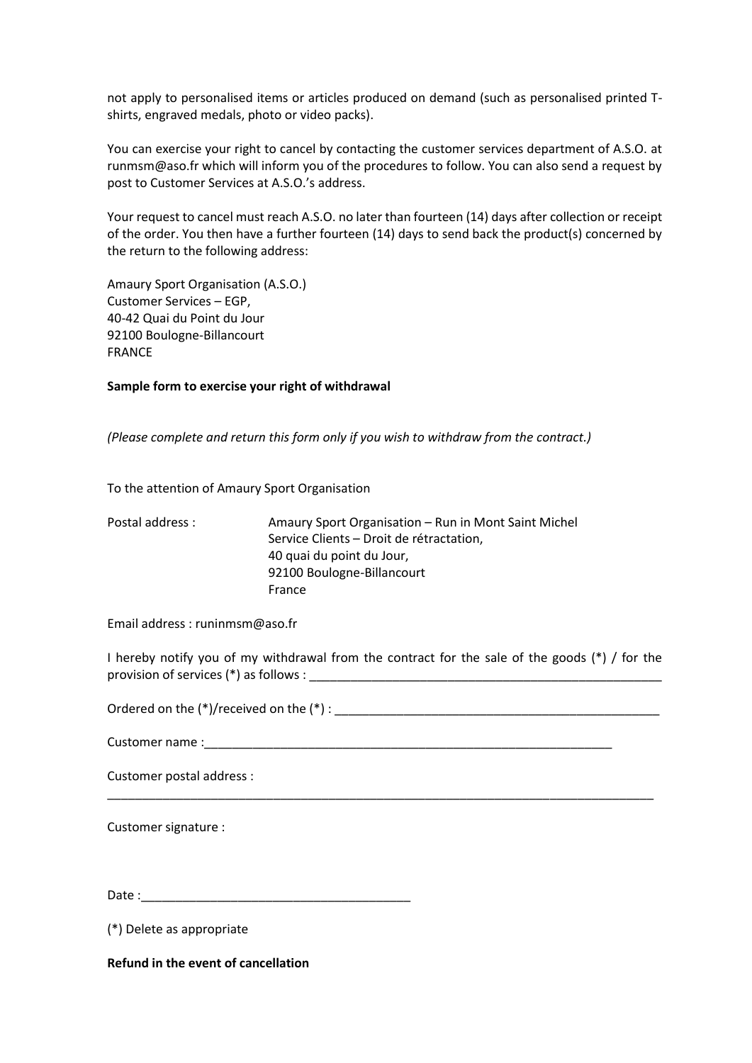not apply to personalised items or articles produced on demand (such as personalised printed Tshirts, engraved medals, photo or video packs).

You can exercise your right to cancel by contacting the customer services department of A.S.O. at runmsm@aso.fr which will inform you of the procedures to follow. You can also send a request by post to Customer Services at A.S.O.'s address.

Your request to cancel must reach A.S.O. no later than fourteen (14) days after collection or receipt of the order. You then have a further fourteen (14) days to send back the product(s) concerned by the return to the following address:

Amaury Sport Organisation (A.S.O.) Customer Services – EGP, 40-42 Quai du Point du Jour 92100 Boulogne-Billancourt FRANCE

## **Sample form to exercise your right of withdrawal**

*(Please complete and return this form only if you wish to withdraw from the contract.)*

To the attention of Amaury Sport Organisation

Postal address : Amaury Sport Organisation – Run in Mont Saint Michel Service Clients – Droit de rétractation, 40 quai du point du Jour, 92100 Boulogne-Billancourt France

Email address : runinmsm@aso.fr

I hereby notify you of my withdrawal from the contract for the sale of the goods (\*) / for the provision of services (\*) as follows :

\_\_\_\_\_\_\_\_\_\_\_\_\_\_\_\_\_\_\_\_\_\_\_\_\_\_\_\_\_\_\_\_\_\_\_\_\_\_\_\_\_\_\_\_\_\_\_\_\_\_\_\_\_\_\_\_\_\_\_\_\_\_\_\_\_\_\_\_\_\_\_\_\_\_\_\_\_\_\_

Ordered on the  $(*)$ /received on the  $(*)$  :

Customer name :\_\_\_\_\_\_\_\_\_\_\_\_\_\_\_\_\_\_\_\_\_\_\_\_\_\_\_\_\_\_\_\_\_\_\_\_\_\_\_\_\_\_\_\_\_\_\_\_\_\_\_\_\_\_\_\_\_\_\_

Customer postal address :

Customer signature :

 $Date:$ 

(\*) Delete as appropriate

**Refund in the event of cancellation**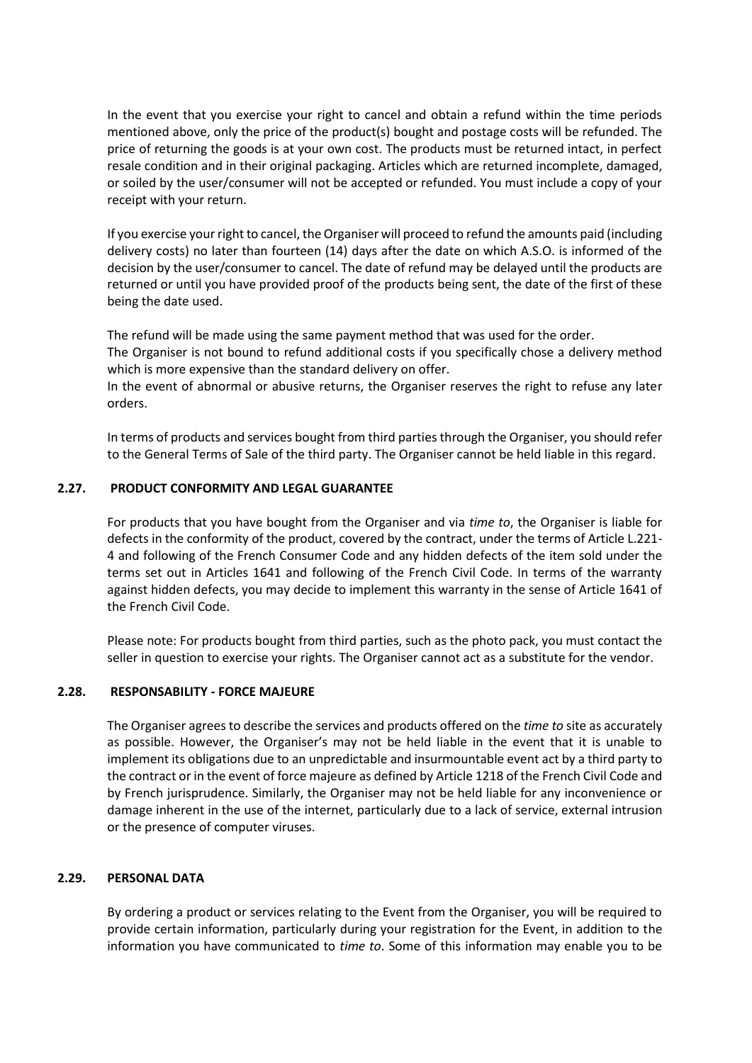In the event that you exercise your right to cancel and obtain a refund within the time periods mentioned above, only the price of the product(s) bought and postage costs will be refunded. The price of returning the goods is at your own cost. The products must be returned intact, in perfect resale condition and in their original packaging. Articles which are returned incomplete, damaged, or soiled by the user/consumer will not be accepted or refunded. You must include a copy of your receipt with your return.

If you exercise your right to cancel, the Organiser will proceed to refund the amounts paid (including delivery costs) no later than fourteen (14) days after the date on which A.S.O. is informed of the decision by the user/consumer to cancel. The date of refund may be delayed until the products are returned or until you have provided proof of the products being sent, the date of the first of these being the date used.

The refund will be made using the same payment method that was used for the order.

The Organiser is not bound to refund additional costs if you specifically chose a delivery method which is more expensive than the standard delivery on offer.

In the event of abnormal or abusive returns, the Organiser reserves the right to refuse any later orders.

In terms of products and services bought from third parties through the Organiser, you should refer to the General Terms of Sale of the third party. The Organiser cannot be held liable in this regard.

## **2.27. PRODUCT CONFORMITY AND LEGAL GUARANTEE**

For products that you have bought from the Organiser and via *time to*, the Organiser is liable for defects in the conformity of the product, covered by the contract, under the terms of Article L.221- 4 and following of the French Consumer Code and any hidden defects of the item sold under the terms set out in Articles 1641 and following of the French Civil Code. In terms of the warranty against hidden defects, you may decide to implement this warranty in the sense of Article 1641 of the French Civil Code.

Please note: For products bought from third parties, such as the photo pack, you must contact the seller in question to exercise your rights. The Organiser cannot act as a substitute for the vendor.

## **2.28. RESPONSABILITY - FORCE MAJEURE**

The Organiser agrees to describe the services and products offered on the *time to* site as accurately as possible. However, the Organiser's may not be held liable in the event that it is unable to implement its obligations due to an unpredictable and insurmountable event act by a third party to the contract or in the event of force majeure as defined by Article 1218 of the French Civil Code and by French jurisprudence. Similarly, the Organiser may not be held liable for any inconvenience or damage inherent in the use of the internet, particularly due to a lack of service, external intrusion or the presence of computer viruses.

## **2.29. PERSONAL DATA**

By ordering a product or services relating to the Event from the Organiser, you will be required to provide certain information, particularly during your registration for the Event, in addition to the information you have communicated to *time to*. Some of this information may enable you to be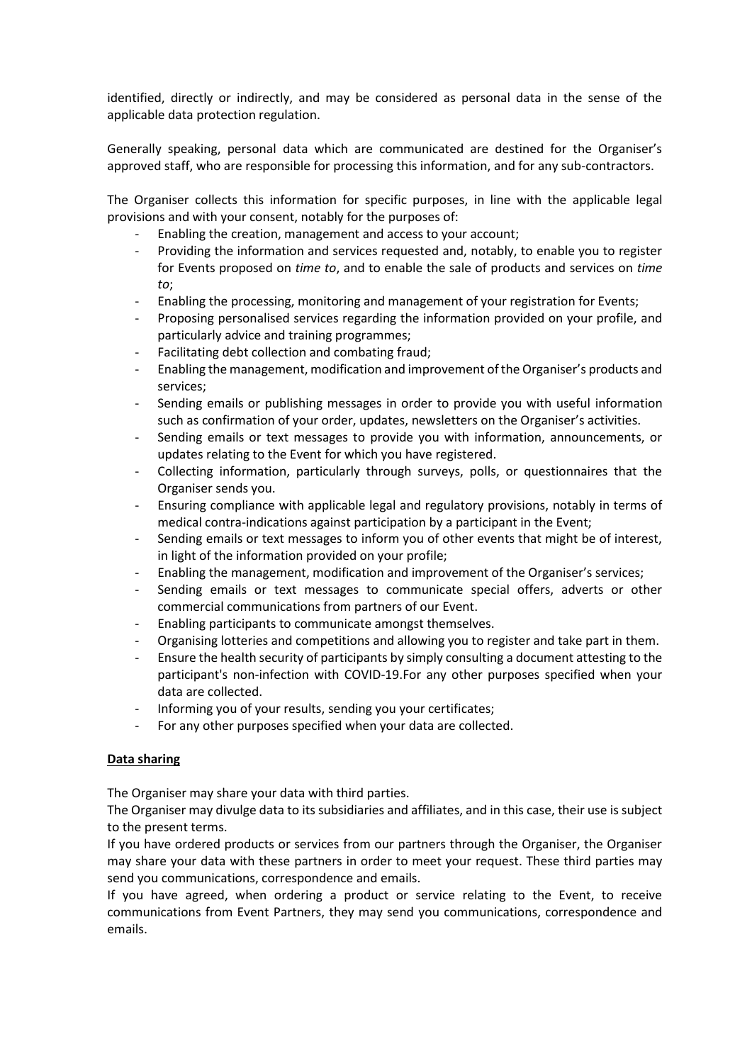identified, directly or indirectly, and may be considered as personal data in the sense of the applicable data protection regulation.

Generally speaking, personal data which are communicated are destined for the Organiser's approved staff, who are responsible for processing this information, and for any sub-contractors.

The Organiser collects this information for specific purposes, in line with the applicable legal provisions and with your consent, notably for the purposes of:

- Enabling the creation, management and access to your account;
- Providing the information and services requested and, notably, to enable you to register for Events proposed on *time to*, and to enable the sale of products and services on *time to*;
- Enabling the processing, monitoring and management of your registration for Events;
- Proposing personalised services regarding the information provided on your profile, and particularly advice and training programmes;
- Facilitating debt collection and combating fraud;
- Enabling the management, modification and improvement of the Organiser's products and services;
- Sending emails or publishing messages in order to provide you with useful information such as confirmation of your order, updates, newsletters on the Organiser's activities.
- Sending emails or text messages to provide you with information, announcements, or updates relating to the Event for which you have registered.
- Collecting information, particularly through surveys, polls, or questionnaires that the Organiser sends you.
- Ensuring compliance with applicable legal and regulatory provisions, notably in terms of medical contra-indications against participation by a participant in the Event;
- Sending emails or text messages to inform you of other events that might be of interest, in light of the information provided on your profile;
- Enabling the management, modification and improvement of the Organiser's services;
- Sending emails or text messages to communicate special offers, adverts or other commercial communications from partners of our Event.
- Enabling participants to communicate amongst themselves.
- Organising lotteries and competitions and allowing you to register and take part in them.
- Ensure the health security of participants by simply consulting a document attesting to the participant's non-infection with COVID-19.For any other purposes specified when your data are collected.
- Informing you of your results, sending you your certificates;
- For any other purposes specified when your data are collected.

## **Data sharing**

The Organiser may share your data with third parties.

The Organiser may divulge data to its subsidiaries and affiliates, and in this case, their use is subject to the present terms.

If you have ordered products or services from our partners through the Organiser, the Organiser may share your data with these partners in order to meet your request. These third parties may send you communications, correspondence and emails.

If you have agreed, when ordering a product or service relating to the Event, to receive communications from Event Partners, they may send you communications, correspondence and emails.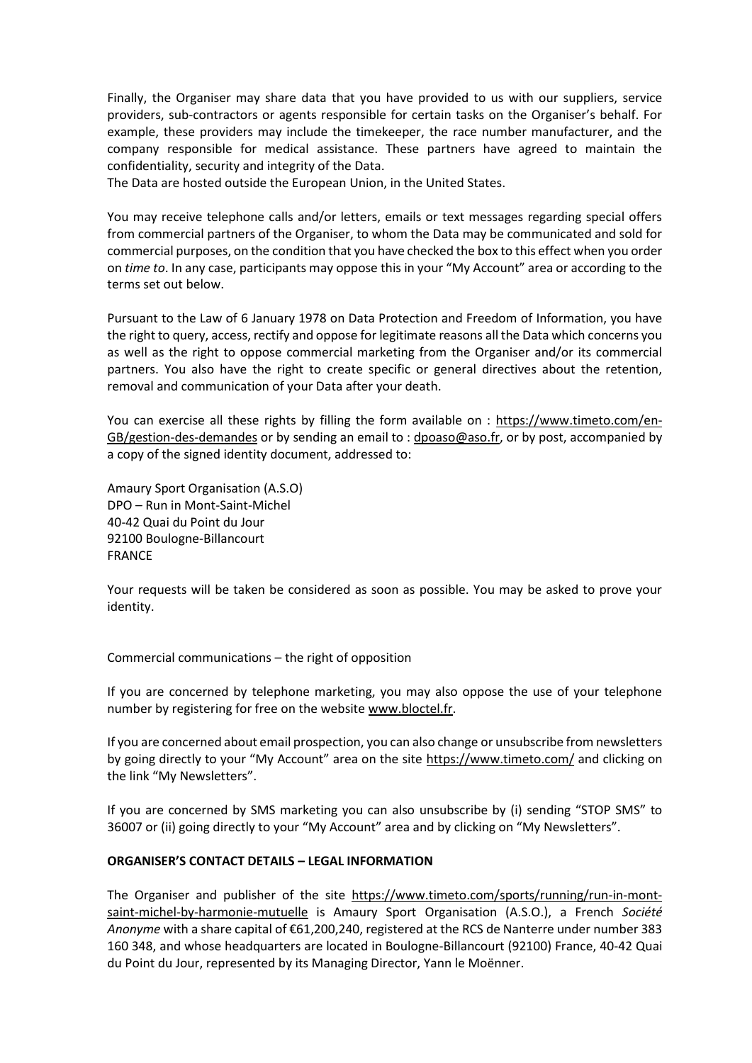Finally, the Organiser may share data that you have provided to us with our suppliers, service providers, sub-contractors or agents responsible for certain tasks on the Organiser's behalf. For example, these providers may include the timekeeper, the race number manufacturer, and the company responsible for medical assistance. These partners have agreed to maintain the confidentiality, security and integrity of the Data.

The Data are hosted outside the European Union, in the United States.

You may receive telephone calls and/or letters, emails or text messages regarding special offers from commercial partners of the Organiser, to whom the Data may be communicated and sold for commercial purposes, on the condition that you have checked the box to this effect when you order on *time to*. In any case, participants may oppose this in your "My Account" area or according to the terms set out below.

Pursuant to the Law of 6 January 1978 on Data Protection and Freedom of Information, you have the right to query, access, rectify and oppose for legitimate reasons all the Data which concerns you as well as the right to oppose commercial marketing from the Organiser and/or its commercial partners. You also have the right to create specific or general directives about the retention, removal and communication of your Data after your death.

You can exercise all these rights by filling the form available on : [https://www.timeto.com/en-](https://www.timeto.com/en-GB/gestion-des-demandes)[GB/gestion-des-demandes](https://www.timeto.com/en-GB/gestion-des-demandes) or by sending an email to [: dpoaso@aso.fr,](mailto:dpoaso@aso.fr) or by post, accompanied by a copy of the signed identity document, addressed to:

Amaury Sport Organisation (A.S.O) DPO – Run in Mont-Saint-Michel 40-42 Quai du Point du Jour 92100 Boulogne-Billancourt FRANCE

Your requests will be taken be considered as soon as possible. You may be asked to prove your identity.

Commercial communications – the right of opposition

If you are concerned by telephone marketing, you may also oppose the use of your telephone number by registering for free on the website [www.bloctel.fr.](http://www.bloctel.fr/)

If you are concerned about email prospection, you can also change or unsubscribe from newsletters by going directly to your "My Account" area on the site <https://www.timeto.com/> and clicking on the link "My Newsletters".

If you are concerned by SMS marketing you can also unsubscribe by (i) sending "STOP SMS" to 36007 or (ii) going directly to your "My Account" area and by clicking on "My Newsletters".

## **ORGANISER'S CONTACT DETAILS – LEGAL INFORMATION**

The Organiser and publisher of the site [https://www.timeto.com/sports/running/run-in-mont](https://www.timeto.com/sports/running/run-in-mont-saint-michel-by-harmonie-mutuelle)[saint-michel-by-harmonie-mutuelle](https://www.timeto.com/sports/running/run-in-mont-saint-michel-by-harmonie-mutuelle) is Amaury Sport Organisation (A.S.O.), a French *Société Anonyme* with a share capital of €61,200,240, registered at the RCS de Nanterre under number 383 160 348, and whose headquarters are located in Boulogne-Billancourt (92100) France, 40-42 Quai du Point du Jour, represented by its Managing Director, Yann le Moënner.